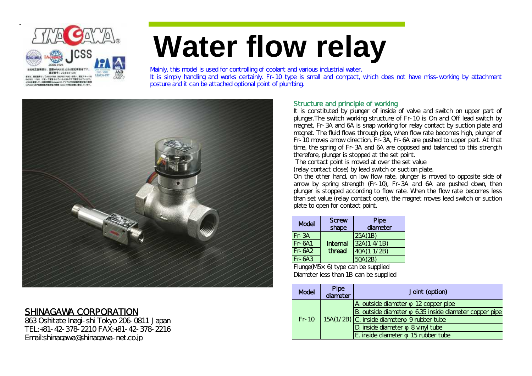

# **Water flow relay**

Mainly, this model is used for controlling of coolant and various industrial water. It is simply handling and works certainly. Fr-10 type is small and compact, which does not have miss-working by attachment posture and it can be attached optional point of plumbing.



## SHINAGAWA CORPORATION

863 Oshitate Inagi-shi Tokyo 206-0811 Japan TEL:+81-42-378-2210 FAX:+81-42-378-2216 Email:shinagawa@shinagawa-net.co.jp

### Structure and principle of working

It is constituted by plunger of inside of valve and switch on upper part of plunger.The switch working structure of Fr-10 is On and Off lead switch by magnet, Fr-3A and 6A is snap working for relay contact by suction plate and magnet. The fluid flows through pipe, when flow rate becomes high, plunger of Fr-10 moves arrow direction, Fr-3A, Fr-6A are pushed to upper part. At that time, the spring of Fr-3A and 6A are opposed and balanced to this strength therefore, plunger is stopped at the set point.

The contact point is moved at over the set value

(relay contact close) by lead switch or suction plate.

On the other hand, on low flow rate, plunger is moved to opposite side of arrow by spring strength (Fr-10), Fr-3A and 6A are pushed down, then plunger is stopped according to flow rate. When the flow rate becomes less than set value (relay contact open), the magnet moves lead switch or suction plate to open for contact point.

| Model     | <b>Screw</b><br>shape | Pipe<br>diameter |  |  |  |  |
|-----------|-----------------------|------------------|--|--|--|--|
| $Fr - 3A$ |                       | 25A(1B)          |  |  |  |  |
| $Fr-6A1$  | Internal<br>thread    | 32A (1 4/1B)     |  |  |  |  |
| $Fr-6A2$  |                       | 40A (1 1/2B)     |  |  |  |  |
| $Fr-6A.3$ |                       | $\overline{B}$   |  |  |  |  |

Flunge(M5×6) type can be supplied Diameter less than 1B can be supplied

|  | <b>Model</b> | Pipe<br>diameter | Joint (option)                                          |
|--|--------------|------------------|---------------------------------------------------------|
|  |              |                  | A. outside diameter<br>12 copper pipe                   |
|  |              |                  | B. outside diameter<br>6.35 inside diameter copper pipe |
|  | $Fr-10$      |                  | $15A(1/2B)$ C. inside diameter 9 rubber tube            |
|  |              |                  | D. inside diameter<br>8 vinyl tube                      |
|  |              |                  | E. inside diameter<br>15 rubber tube                    |